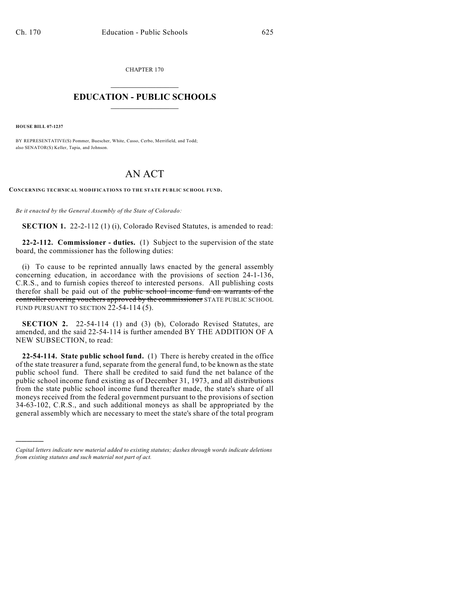CHAPTER 170

## $\mathcal{L}_\text{max}$  . The set of the set of the set of the set of the set of the set of the set of the set of the set of the set of the set of the set of the set of the set of the set of the set of the set of the set of the set **EDUCATION - PUBLIC SCHOOLS**  $\_$   $\_$   $\_$   $\_$   $\_$   $\_$   $\_$   $\_$   $\_$

**HOUSE BILL 07-1237**

)))))

BY REPRESENTATIVE(S) Pommer, Buescher, White, Casso, Cerbo, Merrifield, and Todd; also SENATOR(S) Keller, Tapia, and Johnson.

## AN ACT

**CONCERNING TECHNICAL MODIFICATIONS TO THE STATE PUBLIC SCHOOL FUND.**

*Be it enacted by the General Assembly of the State of Colorado:*

**SECTION 1.** 22-2-112 (1) (i), Colorado Revised Statutes, is amended to read:

**22-2-112. Commissioner - duties.** (1) Subject to the supervision of the state board, the commissioner has the following duties:

(i) To cause to be reprinted annually laws enacted by the general assembly concerning education, in accordance with the provisions of section 24-1-136, C.R.S., and to furnish copies thereof to interested persons. All publishing costs therefor shall be paid out of the public school income fund on warrants of the controller covering vouchers approved by the commissioner STATE PUBLIC SCHOOL FUND PURSUANT TO SECTION 22-54-114 (5).

**SECTION 2.** 22-54-114 (1) and (3) (b), Colorado Revised Statutes, are amended, and the said 22-54-114 is further amended BY THE ADDITION OF A NEW SUBSECTION, to read:

**22-54-114. State public school fund.** (1) There is hereby created in the office of the state treasurer a fund, separate from the general fund, to be known as the state public school fund. There shall be credited to said fund the net balance of the public school income fund existing as of December 31, 1973, and all distributions from the state public school income fund thereafter made, the state's share of all moneys received from the federal government pursuant to the provisions of section 34-63-102, C.R.S., and such additional moneys as shall be appropriated by the general assembly which are necessary to meet the state's share of the total program

*Capital letters indicate new material added to existing statutes; dashes through words indicate deletions from existing statutes and such material not part of act.*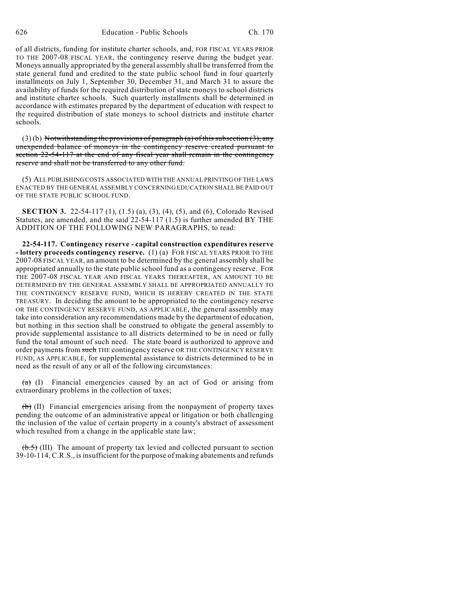of all districts, funding for institute charter schools, and, FOR FISCAL YEARS PRIOR TO THE 2007-08 FISCAL YEAR, the contingency reserve during the budget year. Moneys annually appropriated by the general assembly shall be transferred from the state general fund and credited to the state public school fund in four quarterly installments on July 1, September 30, December 31, and March 31 to assure the availability of funds for the required distribution of state moneys to school districts and institute charter schools. Such quarterly installments shall be determined in accordance with estimates prepared by the department of education with respect to the required distribution of state moneys to school districts and institute charter schools.

 $(3)$  (b) Notwithstanding the provisions of paragraph (a) of this subsection (3), any unexpended balance of moneys in the contingency reserve created pursuant to section 22-54-117 at the end of any fiscal year shall remain in the contingency reserve and shall not be transferred to any other fund.

(5) ALL PUBLISHING COSTS ASSOCIATED WITH THE ANNUAL PRINTING OF THE LAWS ENACTED BY THE GENERAL ASSEMBLY CONCERNING EDUCATION SHALL BE PAID OUT OF THE STATE PUBLIC SCHOOL FUND.

**SECTION 3.** 22-54-117 (1), (1.5) (a), (3), (4), (5), and (6), Colorado Revised Statutes, are amended, and the said 22-54-117 (1.5) is further amended BY THE ADDITION OF THE FOLLOWING NEW PARAGRAPHS, to read:

**22-54-117. Contingency reserve - capital construction expenditures reserve - lottery proceeds contingency reserve.** (1) (a) FOR FISCAL YEARS PRIOR TO THE 2007-08 FISCAL YEAR, an amount to be determined by the general assembly shall be appropriated annually to the state public school fund as a contingency reserve. FOR THE 2007-08 FISCAL YEAR AND FISCAL YEARS THEREAFTER, AN AMOUNT TO BE DETERMINED BY THE GENERAL ASSEMBLY SHALL BE APPROPRIATED ANNUALLY TO THE CONTINGENCY RESERVE FUND, WHICH IS HEREBY CREATED IN THE STATE TREASURY. In deciding the amount to be appropriated to the contingency reserve OR THE CONTINGENCY RESERVE FUND, AS APPLICABLE, the general assembly may take into consideration any recommendations made by the department of education, but nothing in this section shall be construed to obligate the general assembly to provide supplemental assistance to all districts determined to be in need or fully fund the total amount of such need. The state board is authorized to approve and order payments from such THE contingency reserve OR THE CONTINGENCY RESERVE FUND, AS APPLICABLE, for supplemental assistance to districts determined to be in need as the result of any or all of the following circumstances:

 $(a)$  (I) Financial emergencies caused by an act of God or arising from extraordinary problems in the collection of taxes;

 $(\theta)$  (II) Financial emergencies arising from the nonpayment of property taxes pending the outcome of an administrative appeal or litigation or both challenging the inclusion of the value of certain property in a county's abstract of assessment which resulted from a change in the applicable state law;

 $(\text{b.5})$  (III) The amount of property tax levied and collected pursuant to section 39-10-114, C.R.S., is insufficient for the purpose of making abatements and refunds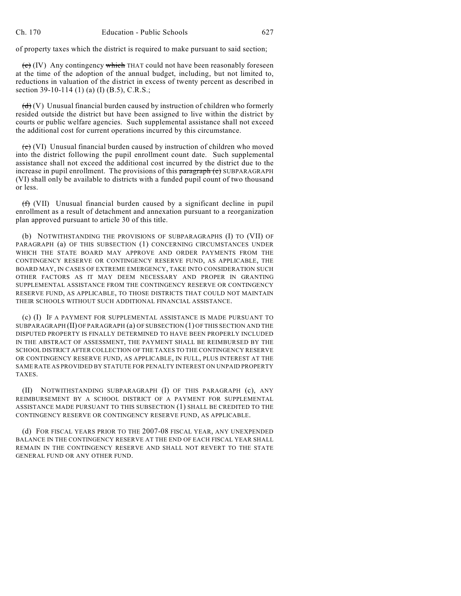of property taxes which the district is required to make pursuant to said section;

 $\overline{(e)}$  (IV) Any contingency which THAT could not have been reasonably foreseen at the time of the adoption of the annual budget, including, but not limited to, reductions in valuation of the district in excess of twenty percent as described in section 39-10-114 (1) (a) (I) (B.5), C.R.S.;

 $(d)$  (V) Unusual financial burden caused by instruction of children who formerly resided outside the district but have been assigned to live within the district by courts or public welfare agencies. Such supplemental assistance shall not exceed the additional cost for current operations incurred by this circumstance.

 $\overline{(e)}$  (VI) Unusual financial burden caused by instruction of children who moved into the district following the pupil enrollment count date. Such supplemental assistance shall not exceed the additional cost incurred by the district due to the increase in pupil enrollment. The provisions of this paragraph (e) SUBPARAGRAPH (VI) shall only be available to districts with a funded pupil count of two thousand or less.

(f) (VII) Unusual financial burden caused by a significant decline in pupil enrollment as a result of detachment and annexation pursuant to a reorganization plan approved pursuant to article 30 of this title.

(b) NOTWITHSTANDING THE PROVISIONS OF SUBPARAGRAPHS (I) TO (VII) OF PARAGRAPH (a) OF THIS SUBSECTION (1) CONCERNING CIRCUMSTANCES UNDER WHICH THE STATE BOARD MAY APPROVE AND ORDER PAYMENTS FROM THE CONTINGENCY RESERVE OR CONTINGENCY RESERVE FUND, AS APPLICABLE, THE BOARD MAY, IN CASES OF EXTREME EMERGENCY, TAKE INTO CONSIDERATION SUCH OTHER FACTORS AS IT MAY DEEM NECESSARY AND PROPER IN GRANTING SUPPLEMENTAL ASSISTANCE FROM THE CONTINGENCY RESERVE OR CONTINGENCY RESERVE FUND, AS APPLICABLE, TO THOSE DISTRICTS THAT COULD NOT MAINTAIN THEIR SCHOOLS WITHOUT SUCH ADDITIONAL FINANCIAL ASSISTANCE.

(c) (I) IF A PAYMENT FOR SUPPLEMENTAL ASSISTANCE IS MADE PURSUANT TO SUBPARAGRAPH (II) OF PARAGRAPH (a) OF SUBSECTION (1) OF THIS SECTION AND THE DISPUTED PROPERTY IS FINALLY DETERMINED TO HAVE BEEN PROPERLY INCLUDED IN THE ABSTRACT OF ASSESSMENT, THE PAYMENT SHALL BE REIMBURSED BY THE SCHOOL DISTRICT AFTER COLLECTION OF THE TAXES TO THE CONTINGENCY RESERVE OR CONTINGENCY RESERVE FUND, AS APPLICABLE, IN FULL, PLUS INTEREST AT THE SAME RATE AS PROVIDED BY STATUTE FOR PENALTY INTEREST ON UNPAID PROPERTY **TAXES** 

(II) NOTWITHSTANDING SUBPARAGRAPH (I) OF THIS PARAGRAPH (c), ANY REIMBURSEMENT BY A SCHOOL DISTRICT OF A PAYMENT FOR SUPPLEMENTAL ASSISTANCE MADE PURSUANT TO THIS SUBSECTION (1) SHALL BE CREDITED TO THE CONTINGENCY RESERVE OR CONTINGENCY RESERVE FUND, AS APPLICABLE.

(d) FOR FISCAL YEARS PRIOR TO THE 2007-08 FISCAL YEAR, ANY UNEXPENDED BALANCE IN THE CONTINGENCY RESERVE AT THE END OF EACH FISCAL YEAR SHALL REMAIN IN THE CONTINGENCY RESERVE AND SHALL NOT REVERT TO THE STATE GENERAL FUND OR ANY OTHER FUND.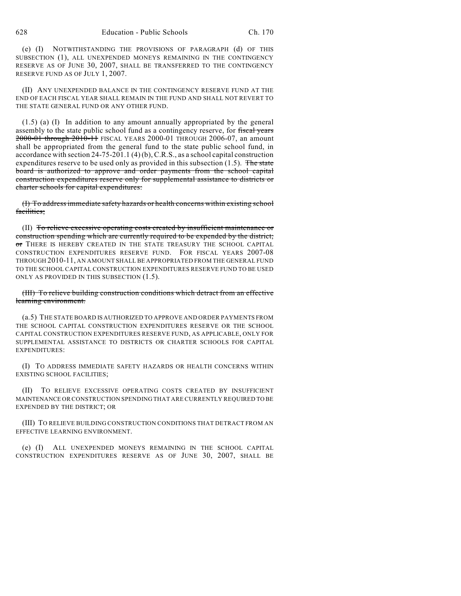(e) (I) NOTWITHSTANDING THE PROVISIONS OF PARAGRAPH (d) OF THIS SUBSECTION (1), ALL UNEXPENDED MONEYS REMAINING IN THE CONTINGENCY RESERVE AS OF JUNE 30, 2007, SHALL BE TRANSFERRED TO THE CONTINGENCY RESERVE FUND AS OF JULY 1, 2007.

(II) ANY UNEXPENDED BALANCE IN THE CONTINGENCY RESERVE FUND AT THE END OF EACH FISCAL YEAR SHALL REMAIN IN THE FUND AND SHALL NOT REVERT TO THE STATE GENERAL FUND OR ANY OTHER FUND.

(1.5) (a) (I) In addition to any amount annually appropriated by the general assembly to the state public school fund as a contingency reserve, for fiscal years 2000-01 through 2010-11 FISCAL YEARS 2000-01 THROUGH 2006-07, an amount shall be appropriated from the general fund to the state public school fund, in accordance with section 24-75-201.1 (4) (b), C.R.S., as a school capital construction expenditures reserve to be used only as provided in this subsection  $(1.5)$ . The state board is authorized to approve and order payments from the school capital construction expenditures reserve only for supplemental assistance to districts or charter schools for capital expenditures:

(I) To address immediate safety hazards or health concerns within existing school facilities;

(II) To relieve excessive operating costs created by insufficient maintenance or construction spending which are currently required to be expended by the district; or THERE IS HEREBY CREATED IN THE STATE TREASURY THE SCHOOL CAPITAL CONSTRUCTION EXPENDITURES RESERVE FUND. FOR FISCAL YEARS 2007-08 THROUGH 2010-11, AN AMOUNT SHALL BE APPROPRIATED FROM THE GENERAL FUND TO THE SCHOOL CAPITAL CONSTRUCTION EXPENDITURES RESERVE FUND TO BE USED ONLY AS PROVIDED IN THIS SUBSECTION (1.5).

## (III) To relieve building construction conditions which detract from an effective learning environment.

(a.5) THE STATE BOARD IS AUTHORIZED TO APPROVE AND ORDER PAYMENTS FROM THE SCHOOL CAPITAL CONSTRUCTION EXPENDITURES RESERVE OR THE SCHOOL CAPITAL CONSTRUCTION EXPENDITURES RESERVE FUND, AS APPLICABLE, ONLY FOR SUPPLEMENTAL ASSISTANCE TO DISTRICTS OR CHARTER SCHOOLS FOR CAPITAL EXPENDITURES:

(I) TO ADDRESS IMMEDIATE SAFETY HAZARDS OR HEALTH CONCERNS WITHIN EXISTING SCHOOL FACILITIES;

(II) TO RELIEVE EXCESSIVE OPERATING COSTS CREATED BY INSUFFICIENT MAINTENANCE OR CONSTRUCTION SPENDING THAT ARE CURRENTLY REQUIRED TO BE EXPENDED BY THE DISTRICT; OR

(III) TO RELIEVE BUILDING CONSTRUCTION CONDITIONS THAT DETRACT FROM AN EFFECTIVE LEARNING ENVIRONMENT.

(e) (I) ALL UNEXPENDED MONEYS REMAINING IN THE SCHOOL CAPITAL CONSTRUCTION EXPENDITURES RESERVE AS OF JUNE 30, 2007, SHALL BE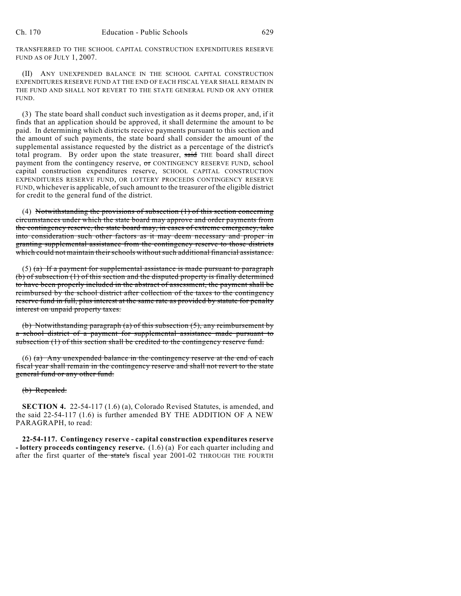TRANSFERRED TO THE SCHOOL CAPITAL CONSTRUCTION EXPENDITURES RESERVE FUND AS OF JULY 1, 2007.

(II) ANY UNEXPENDED BALANCE IN THE SCHOOL CAPITAL CONSTRUCTION EXPENDITURES RESERVE FUND AT THE END OF EACH FISCAL YEAR SHALL REMAIN IN THE FUND AND SHALL NOT REVERT TO THE STATE GENERAL FUND OR ANY OTHER FUND.

(3) The state board shall conduct such investigation as it deems proper, and, if it finds that an application should be approved, it shall determine the amount to be paid. In determining which districts receive payments pursuant to this section and the amount of such payments, the state board shall consider the amount of the supplemental assistance requested by the district as a percentage of the district's total program. By order upon the state treasurer, said THE board shall direct payment from the contingency reserve, or CONTINGENCY RESERVE FUND, school capital construction expenditures reserve, SCHOOL CAPITAL CONSTRUCTION EXPENDITURES RESERVE FUND, OR LOTTERY PROCEEDS CONTINGENCY RESERVE FUND, whicheveris applicable, of such amount to the treasurer of the eligible district for credit to the general fund of the district.

(4) Notwithstanding the provisions of subsection (1) of this section concerning circumstances under which the state board may approve and order payments from the contingency reserve, the state board may, in cases of extreme emergency, take into consideration such other factors as it may deem necessary and proper in granting supplemental assistance from the contingency reserve to those districts which could not maintain their schools without such additional financial assistance.

 $(5)$  (a) If a payment for supplemental assistance is made pursuant to paragraph (b) of subsection (1) of this section and the disputed property is finally determined to have been properly included in the abstract of assessment, the payment shall be reimbursed by the school district after collection of the taxes to the contingency reserve fund in full, plus interest at the same rate as provided by statute for penalty interest on unpaid property taxes.

(b) Notwithstanding paragraph (a) of this subsection (5), any reimbursement by a school district of a payment for supplemental assistance made pursuant to subsection (1) of this section shall be credited to the contingency reserve fund.

 $(6)$  (a) Any unexpended balance in the contingency reserve at the end of each fiscal year shall remain in the contingency reserve and shall not revert to the state general fund or any other fund.

(b) Repealed.

**SECTION 4.** 22-54-117 (1.6) (a), Colorado Revised Statutes, is amended, and the said 22-54-117 (1.6) is further amended BY THE ADDITION OF A NEW PARAGRAPH, to read:

**22-54-117. Contingency reserve - capital construction expenditures reserve - lottery proceeds contingency reserve.** (1.6) (a) For each quarter including and after the first quarter of the state's fiscal year 2001-02 THROUGH THE FOURTH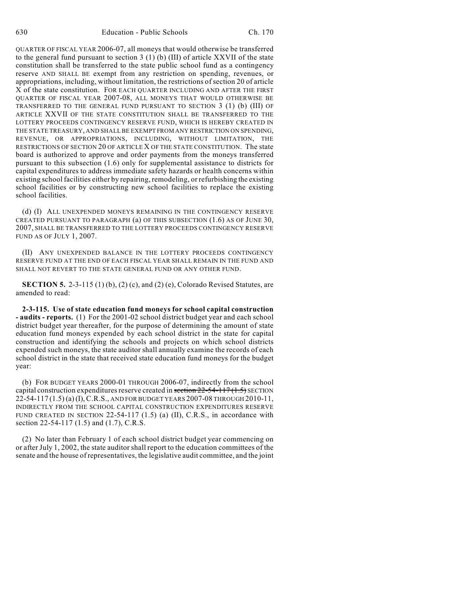QUARTER OF FISCAL YEAR 2006-07, all moneys that would otherwise be transferred to the general fund pursuant to section  $3(1)(b)$  (III) of article XXVII of the state constitution shall be transferred to the state public school fund as a contingency reserve AND SHALL BE exempt from any restriction on spending, revenues, or appropriations, including, without limitation, the restrictions of section 20 of article X of the state constitution. FOR EACH QUARTER INCLUDING AND AFTER THE FIRST QUARTER OF FISCAL YEAR 2007-08, ALL MONEYS THAT WOULD OTHERWISE BE TRANSFERRED TO THE GENERAL FUND PURSUANT TO SECTION 3 (1) (b) (III) OF ARTICLE XXVII OF THE STATE CONSTITUTION SHALL BE TRANSFERRED TO THE LOTTERY PROCEEDS CONTINGENCY RESERVE FUND, WHICH IS HEREBY CREATED IN THE STATE TREASURY, AND SHALL BE EXEMPT FROM ANY RESTRICTION ON SPENDING, REVENUE, OR APPROPRIATIONS, INCLUDING, WITHOUT LIMITATION, THE RESTRICTIONS OF SECTION 20 OF ARTICLE X OF THE STATE CONSTITUTION. The state board is authorized to approve and order payments from the moneys transferred pursuant to this subsection (1.6) only for supplemental assistance to districts for capital expenditures to address immediate safety hazards or health concerns within existing school facilities either by repairing, remodeling, or refurbishing the existing school facilities or by constructing new school facilities to replace the existing school facilities.

(d) (I) ALL UNEXPENDED MONEYS REMAINING IN THE CONTINGENCY RESERVE CREATED PURSUANT TO PARAGRAPH (a) OF THIS SUBSECTION (1.6) AS OF JUNE 30, 2007, SHALL BE TRANSFERRED TO THE LOTTERY PROCEEDS CONTINGENCY RESERVE FUND AS OF JULY 1, 2007.

(II) ANY UNEXPENDED BALANCE IN THE LOTTERY PROCEEDS CONTINGENCY RESERVE FUND AT THE END OF EACH FISCAL YEAR SHALL REMAIN IN THE FUND AND SHALL NOT REVERT TO THE STATE GENERAL FUND OR ANY OTHER FUND.

**SECTION 5.** 2-3-115 (1) (b), (2) (c), and (2) (e), Colorado Revised Statutes, are amended to read:

**2-3-115. Use of state education fund moneys for school capital construction - audits - reports.** (1) For the 2001-02 school district budget year and each school district budget year thereafter, for the purpose of determining the amount of state education fund moneys expended by each school district in the state for capital construction and identifying the schools and projects on which school districts expended such moneys, the state auditor shall annually examine the records of each school district in the state that received state education fund moneys for the budget year:

(b) FOR BUDGET YEARS 2000-01 THROUGH 2006-07, indirectly from the school capital construction expenditures reserve created in section 22-54-117 (1.5) SECTION 22-54-117 (1.5) (a) (I), C.R.S., AND FOR BUDGET YEARS 2007-08 THROUGH 2010-11, INDIRECTLY FROM THE SCHOOL CAPITAL CONSTRUCTION EXPENDITURES RESERVE FUND CREATED IN SECTION 22-54-117  $(1.5)$  (a)  $(II)$ , C.R.S., in accordance with section 22-54-117 (1.5) and (1.7), C.R.S.

(2) No later than February 1 of each school district budget year commencing on or after July 1, 2002, the state auditor shall report to the education committees of the senate and the house of representatives, the legislative audit committee, and the joint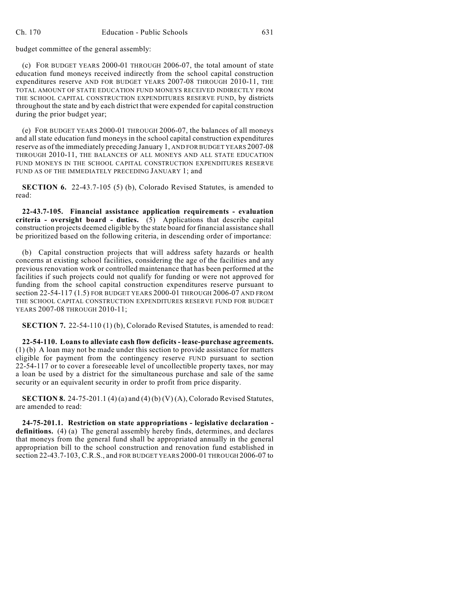budget committee of the general assembly:

(c) FOR BUDGET YEARS 2000-01 THROUGH 2006-07, the total amount of state education fund moneys received indirectly from the school capital construction expenditures reserve AND FOR BUDGET YEARS 2007-08 THROUGH 2010-11, THE TOTAL AMOUNT OF STATE EDUCATION FUND MONEYS RECEIVED INDIRECTLY FROM THE SCHOOL CAPITAL CONSTRUCTION EXPENDITURES RESERVE FUND, by districts throughout the state and by each district that were expended for capital construction during the prior budget year;

(e) FOR BUDGET YEARS 2000-01 THROUGH 2006-07, the balances of all moneys and all state education fund moneys in the school capital construction expenditures reserve as of the immediately preceding January 1, AND FOR BUDGET YEARS 2007-08 THROUGH 2010-11, THE BALANCES OF ALL MONEYS AND ALL STATE EDUCATION FUND MONEYS IN THE SCHOOL CAPITAL CONSTRUCTION EXPENDITURES RESERVE FUND AS OF THE IMMEDIATELY PRECEDING JANUARY 1; and

**SECTION 6.** 22-43.7-105 (5) (b), Colorado Revised Statutes, is amended to read:

**22-43.7-105. Financial assistance application requirements - evaluation criteria - oversight board - duties.** (5) Applications that describe capital construction projects deemed eligible by the state board for financial assistance shall be prioritized based on the following criteria, in descending order of importance:

(b) Capital construction projects that will address safety hazards or health concerns at existing school facilities, considering the age of the facilities and any previous renovation work or controlled maintenance that has been performed at the facilities if such projects could not qualify for funding or were not approved for funding from the school capital construction expenditures reserve pursuant to section 22-54-117 (1.5) FOR BUDGET YEARS 2000-01 THROUGH 2006-07 AND FROM THE SCHOOL CAPITAL CONSTRUCTION EXPENDITURES RESERVE FUND FOR BUDGET YEARS 2007-08 THROUGH 2010-11;

**SECTION 7.** 22-54-110 (1) (b), Colorado Revised Statutes, is amended to read:

**22-54-110. Loans to alleviate cash flow deficits - lease-purchase agreements.** (1) (b) A loan may not be made under this section to provide assistance for matters eligible for payment from the contingency reserve FUND pursuant to section 22-54-117 or to cover a foreseeable level of uncollectible property taxes, nor may a loan be used by a district for the simultaneous purchase and sale of the same security or an equivalent security in order to profit from price disparity.

**SECTION 8.** 24-75-201.1 (4) (a) and (4) (b) (V) (A), Colorado Revised Statutes, are amended to read:

**24-75-201.1. Restriction on state appropriations - legislative declaration definitions.** (4) (a) The general assembly hereby finds, determines, and declares that moneys from the general fund shall be appropriated annually in the general appropriation bill to the school construction and renovation fund established in section 22-43.7-103, C.R.S., and FOR BUDGET YEARS 2000-01 THROUGH 2006-07 to